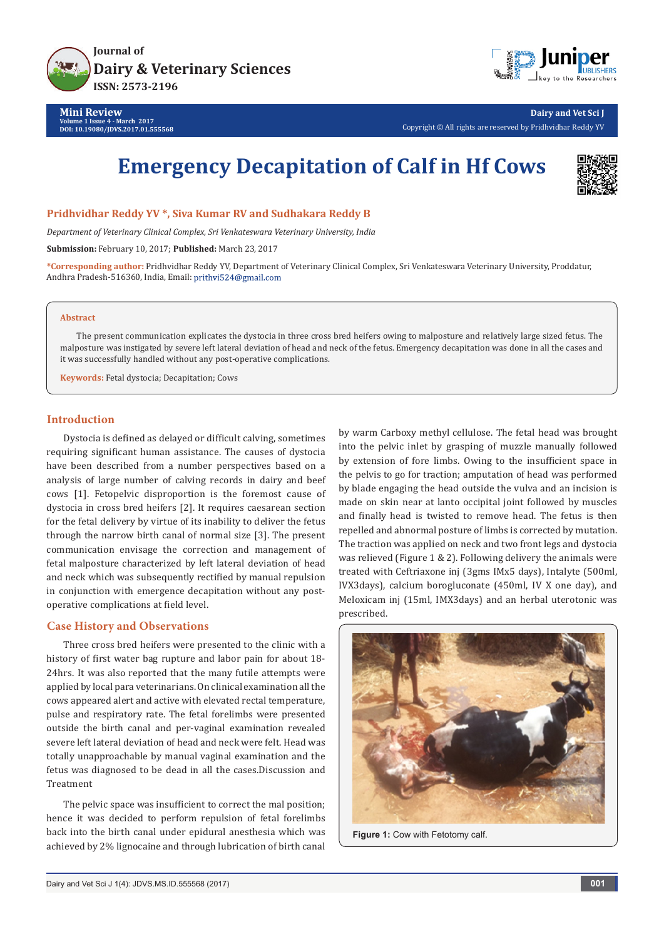



**Dairy and Vet Sci J** Copyright © All rights are reserved by Pridhvidhar Reddy YV

# **Emergency Decapitation of Calf in Hf Cows**



**Pridhvidhar Reddy YV \*, Siva Kumar RV and Sudhakara Reddy B**

*Department of Veterinary Clinical Complex, Sri Venkateswara Veterinary University, India*

**Submission:** February 10, 2017; **Published:** March 23, 2017

**\*Corresponding author:** Pridhvidhar Reddy YV, Department of Veterinary Clinical Complex, Sri Venkateswara Veterinary University, Proddatur, Andhra Pradesh-516360, India, Email:

#### **Abstract**

The present communication explicates the dystocia in three cross bred heifers owing to malposture and relatively large sized fetus. The malposture was instigated by severe left lateral deviation of head and neck of the fetus. Emergency decapitation was done in all the cases and it was successfully handled without any post-operative complications.

**Keywords:** Fetal dystocia; Decapitation; Cows

## **Introduction**

Dystocia is defined as delayed or difficult calving, sometimes requiring significant human assistance. The causes of dystocia have been described from a number perspectives based on a analysis of large number of calving records in dairy and beef cows [1]. Fetopelvic disproportion is the foremost cause of dystocia in cross bred heifers [2]. It requires caesarean section for the fetal delivery by virtue of its inability to deliver the fetus through the narrow birth canal of normal size [3]. The present communication envisage the correction and management of fetal malposture characterized by left lateral deviation of head and neck which was subsequently rectified by manual repulsion in conjunction with emergence decapitation without any postoperative complications at field level.

### **Case History and Observations**

Three cross bred heifers were presented to the clinic with a history of first water bag rupture and labor pain for about 18- 24hrs. It was also reported that the many futile attempts were applied by local para veterinarians. On clinical examination all the cows appeared alert and active with elevated rectal temperature, pulse and respiratory rate. The fetal forelimbs were presented outside the birth canal and per-vaginal examination revealed severe left lateral deviation of head and neck were felt. Head was totally unapproachable by manual vaginal examination and the fetus was diagnosed to be dead in all the cases.Discussion and Treatment

The pelvic space was insufficient to correct the mal position; hence it was decided to perform repulsion of fetal forelimbs back into the birth canal under epidural anesthesia which was achieved by 2% lignocaine and through lubrication of birth canal by warm Carboxy methyl cellulose. The fetal head was brought into the pelvic inlet by grasping of muzzle manually followed by extension of fore limbs. Owing to the insufficient space in the pelvis to go for traction; amputation of head was performed by blade engaging the head outside the vulva and an incision is made on skin near at lanto occipital joint followed by muscles and finally head is twisted to remove head. The fetus is then repelled and abnormal posture of limbs is corrected by mutation. The traction was applied on neck and two front legs and dystocia was relieved (Figure 1 & 2). Following delivery the animals were treated with Ceftriaxone inj (3gms IMx5 days), Intalyte (500ml, IVX3days), calcium borogluconate (450ml, IV X one day), and Meloxicam inj (15ml, IMX3days) and an herbal uterotonic was prescribed.



Figure 1: Cow with Fetotomy calf.